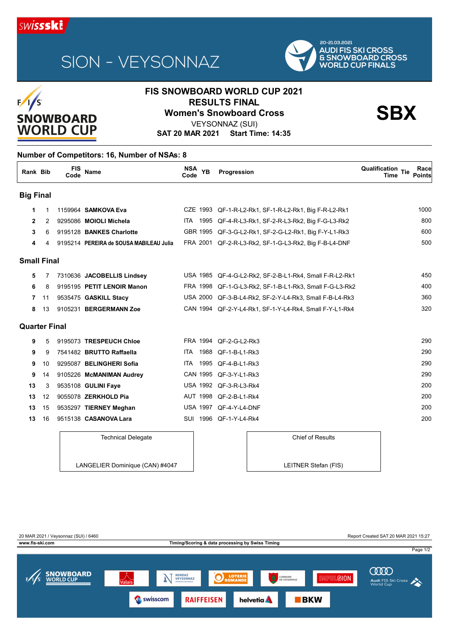

# SION - VEYSONNAZ



### $F/1/S$ **SNOWBOARD WORLD CUP**

### **FIS SNOWBOARD WORLD CUP 2021 RESULTS FINAL<br>
Women's Snowboard Cross**<br>
VEXSONNAZ (SLII)

VEYSONNAZ (SUI)

**SAT 20 MAR 2021 Start Time: 14:35**

#### **Number of Competitors: 16, Number of NSAs: 8**

| Rank Bib             |    | <b>FIS</b><br>Code | <b>Name</b>                             | NSA YB<br>Code | Progression                                             | <b>Qualification Tie</b><br>Race<br><b>Points</b><br>Time |
|----------------------|----|--------------------|-----------------------------------------|----------------|---------------------------------------------------------|-----------------------------------------------------------|
| <b>Big Final</b>     |    |                    |                                         |                |                                                         |                                                           |
| 1                    | 1  |                    | 1159964 <b>SAMKOVA Eva</b>              |                | CZE 1993 QF-1-R-L2-Rk1, SF-1-R-L2-Rk1, Big F-R-L2-Rk1   | 1000                                                      |
| $\mathbf{2}$         | 2  |                    | 9295086 MOIOLI Michela                  |                | ITA 1995 QF-4-R-L3-Rk1, SF-2-R-L3-Rk2, Big F-G-L3-Rk2   | 800                                                       |
| 3                    | 6  |                    | 9195128 BANKES Charlotte                |                | GBR 1995 QF-3-G-L2-Rk1, SF-2-G-L2-Rk1, Big F-Y-L1-Rk3   | 60 <sub>C</sub>                                           |
| 4                    | 4  |                    | 9195214 PEREIRA de SOUSA MABILEAU Julia |                | FRA 2001 QF-2-R-L3-Rk2, SF-1-G-L3-Rk2, Big F-B-L4-DNF   | 500                                                       |
| <b>Small Final</b>   |    |                    |                                         |                |                                                         |                                                           |
| 5                    | 7  |                    | 7310636 JACOBELLIS Lindsey              |                | USA 1985 QF-4-G-L2-Rk2, SF-2-B-L1-Rk4, Small F-R-L2-Rk1 | 45 <sub>C</sub>                                           |
| 6                    | 8  |                    | 9195195 PETIT LENOIR Manon              |                | FRA 1998 QF-1-G-L3-Rk2, SF-1-B-L1-Rk3, Small F-G-L3-Rk2 | 40 <sub>C</sub>                                           |
| 7                    | 11 |                    | 9535475 GASKILL Stacy                   |                | USA 2000 QF-3-B-L4-Rk2, SF-2-Y-L4-Rk3, Small F-B-L4-Rk3 | 360                                                       |
| 8                    | 13 |                    | 9105231 BERGERMANN Zoe                  |                | CAN 1994 QF-2-Y-L4-Rk1, SF-1-Y-L4-Rk4, Small F-Y-L1-Rk4 | 320                                                       |
| <b>Quarter Final</b> |    |                    |                                         |                |                                                         |                                                           |
| 9                    | 5  |                    | 9195073 TRESPEUCH Chloe                 |                | FRA 1994 QF-2-G-L2-Rk3                                  | <b>290</b>                                                |
| 9                    | 9  |                    | 7541482 BRUTTO Raffaella                | ITA            | 1988 QF-1-B-L1-Rk3                                      | <b>290</b>                                                |
| 9                    | 10 |                    | 9295087 BELINGHERI Sofia                | ITA            | 1995 QF-4-B-L1-Rk3                                      | <b>290</b>                                                |
| 9                    | 14 |                    | 9105226 McMANIMAN Audrey                |                | CAN 1995 QF-3-Y-L1-Rk3                                  | <b>290</b>                                                |
| 13                   | 3  |                    | 9535108 GULINI Faye                     |                | USA 1992 QF-3-R-L3-Rk4                                  | <b>200</b>                                                |
| 13                   | 12 |                    | 9055078 <b>ZERKHOLD Pia</b>             |                | AUT 1998 QF-2-B-L1-Rk4                                  | <b>200</b>                                                |
| 13                   | 15 |                    | 9535297 TIERNEY Meghan                  |                | USA 1997 QF-4-Y-L4-DNF                                  | 20 <sub>C</sub>                                           |
| 13                   | 16 |                    | 9515138 CASANOVA Lara                   |                | SUI 1996 QF-1-Y-L4-Rk4                                  | 200                                                       |

#### Technical Delegate LANGELIER Dominique (CAN) #4047 Chief of Results LEITNER Stefan (FIS)